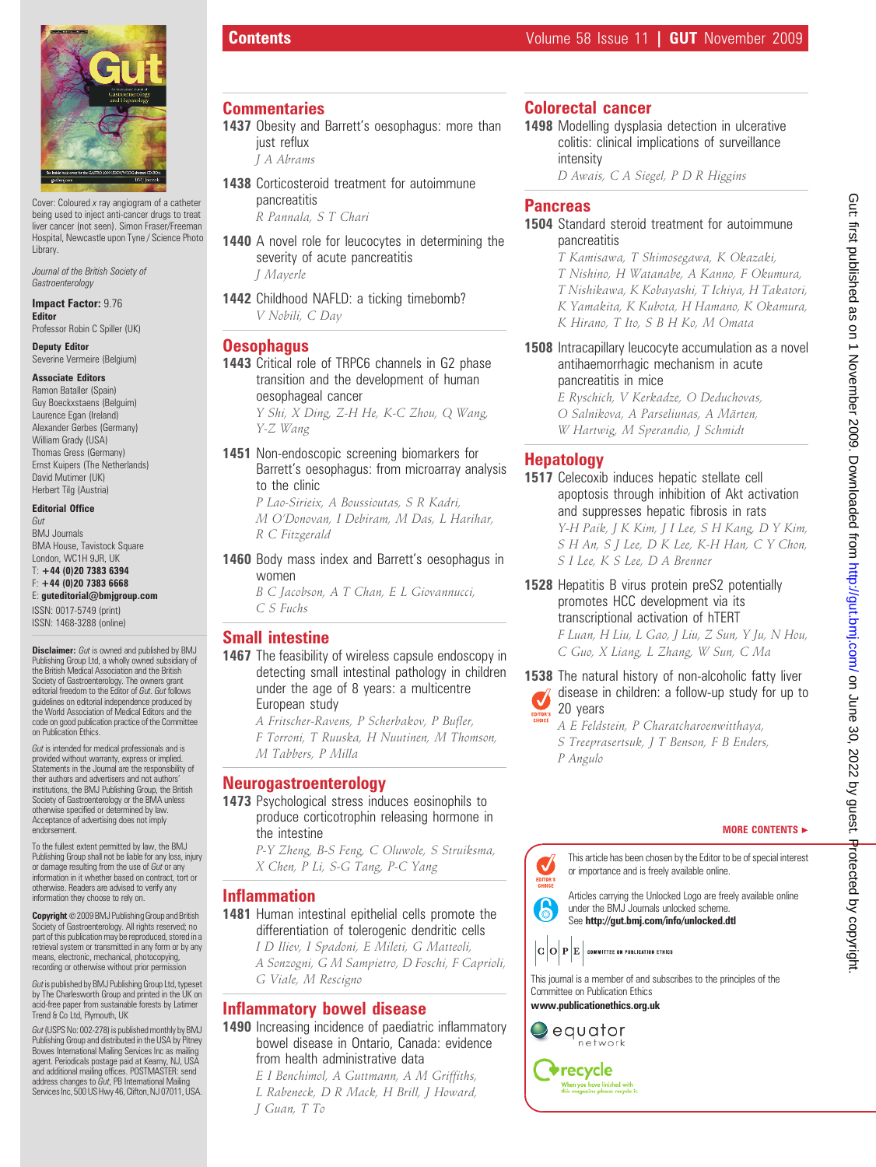

Cover: Coloured x ray angiogram of a catheter being used to inject anti-cancer drugs to treat liver cancer (not seen). Simon Fraser/Freeman Hospital, Newcastle upon Tyne / Science Photo **Library.** 

Journal of the British Society of **Gastroenterology** 

Impact Factor: 9.76 **Editor** 

Professor Robin C Spiller (UK)

Deputy Editor Severine Vermeire (Belgium)

#### Associate Editors

Ramon Bataller (Spain) Guy Boeckxstaens (Belguim) Laurence Egan (Ireland) Alexander Gerbes (Germany) William Grady (USA) Thomas Gress (Germany) Ernst Kuipers (The Netherlands) David Mutimer (UK) Herbert Tilg (Austria)

#### Editorial Office

Gut BMJ Journals **BMA House, Tavistock Square** London, WC1H 9JR, UK T: +44 (0)20 7383 6394 F: +44 (0)20 7383 6668 E: guteditorial@bmjgroup.com

ISSN: 0017-5749 (print) ISSN: 1468-3288 (online)

**Disclaimer:** Gut is owned and published by BMJ Publishing Group Ltd, a wholly owned subsidiary of the British Medical Association and the British Society of Gastroenterology. The owners grant editorial freedom to the Editor of Gut. Gut follows guidelines on editorial independence produced by the World Association of Medical Editors and the code on good publication practice of the Committee on Publication Ethics.

Gut is intended for medical professionals and is provided without warranty, express or implied. Statements in the Journal are the responsibility of their authors and advertisers and not authors' institutions, the BMJ Publishing Group, the British Society of Gastroenterology or the BMA unless otherwise specified or determined by law. Acceptance of advertising does not imply endorsement.

To the fullest extent permitted by law, the BMJ Publishing Group shall not be liable for any loss, injury or damage resulting from the use of *Gut* or any information in it whether based on contract, tort or otherwise. Readers are advised to verify any information they choose to rely on.

Copyright © 2009 BMJ Publishing Group and British Society of Gastroenterology. All rights reserved; no part of this publication may be reproduced, stored in a retrieval system or transmitted in any form or by any means, electronic, mechanical, photocopying, recording or otherwise without prior permis

Gut is published by BMJ Publishing Group Ltd, typeset by The Charlesworth Group and printed in the UK on acid-free paper from sustainable forests by Latimer Trend & Co Ltd, Plymouth, UK

Gut(USPS No: 002-278) is published monthly by BMJ Publishing Group and distributed in the USA by Pitney Bowes International Mailing Services Inc as mailing agent. Periodicals postage paid at Kearny, NJ, USA and additional mailing offices. POSTMASTER: send address changes to Gut, PB International Mailing Services Inc, 500 US Hwy 46, Clifton, NJ 07011, USA.

#### **Commentaries**

- 1437 Obesity and Barrett's oesophagus: more than just reflux
	- J A Abrams
- 1438 Corticosteroid treatment for autoimmune pancreatitis

R Pannala, S T Chari

- 1440 A novel role for leucocytes in determining the severity of acute pancreatitis J Mayerle
- 1442 Childhood NAFLD: a ticking timebomb? V Nobili, C Day

#### **Oesophagus**

1443 Critical role of TRPC6 channels in G2 phase transition and the development of human oesophageal cancer Y Shi, X Ding, Z-H He, K-C Zhou, Q Wang,

Y-Z Wang

1451 Non-endoscopic screening biomarkers for Barrett's oesophagus: from microarray analysis to the clinic

P Lao-Sirieix, A Boussioutas, S R Kadri, M O'Donovan, I Debiram, M Das, L Harihar, R C Fitzgerald

1460 Body mass index and Barrett's oesophagus in women

> B C Jacobson, A T Chan, E L Giovannucci, C S Fuchs

#### Small intestine

1467 The feasibility of wireless capsule endoscopy in detecting small intestinal pathology in children under the age of 8 years: a multicentre European study

A Fritscher-Ravens, P Scherbakov, P Bufler, F Torroni, T Ruuska, H Nuutinen, M Thomson, M Tabbers, P Milla

#### Neurogastroenterology

1473 Psychological stress induces eosinophils to produce corticotrophin releasing hormone in the intestine

P-Y Zheng, B-S Feng, C Oluwole, S Struiksma, X Chen, P Li, S-G Tang, P-C Yang

#### Inflammation

1481 Human intestinal epithelial cells promote the differentiation of tolerogenic dendritic cells I D Iliev, I Spadoni, E Mileti, G Matteoli, A Sonzogni, G M Sampietro, D Foschi, F Caprioli, G Viale, M Rescigno

#### Inflammatory bowel disease

- 1490 Increasing incidence of paediatric inflammatory bowel disease in Ontario, Canada: evidence from health administrative data E I Benchimol, A Guttmann, A M Griffiths,
	- L Rabeneck, D R Mack, H Brill, J Howard, J Guan, T To

#### Colorectal cancer

1498 Modelling dysplasia detection in ulcerative colitis: clinical implications of surveillance intensity

D Awais, C A Siegel, P D R Higgins

#### **Pancreas**

#### 1504 Standard steroid treatment for autoimmune pancreatitis

T Kamisawa, T Shimosegawa, K Okazaki, T Nishino, H Watanabe, A Kanno, F Okumura, T Nishikawa, K Kobayashi, T Ichiya, H Takatori,

K Yamakita, K Kubota, H Hamano, K Okamura,

- K Hirano, T Ito, S B H Ko, M Omata
- 1508 Intracapillary leucocyte accumulation as a novel antihaemorrhagic mechanism in acute pancreatitis in mice

E Ryschich, V Kerkadze, O Deduchovas, O Salnikova, A Parseliunas, A Märten, W Hartwig, M Sperandio, J Schmidt

### Hepatology

1517 Celecoxib induces hepatic stellate cell apoptosis through inhibition of Akt activation and suppresses hepatic fibrosis in rats Y-H Paik, J K Kim, J I Lee, S H Kang, D Y Kim, S H An, S J Lee, D K Lee, K-H Han, C Y Chon, S I Lee, K S Lee, D A Brenner

1528 Hepatitis B virus protein preS2 potentially promotes HCC development via its transcriptional activation of hTERT F Luan, H Liu, L Gao, J Liu, Z Sun, Y Ju, N Hou, C Guo, X Liang, L Zhang, W Sun, C Ma

1538 The natural history of non-alcoholic fatty liver disease in children: a follow-up study for up to 20 years

A E Feldstein, P Charatcharoenwitthaya, S Treeprasertsuk, J T Benson, F B Enders, P Angulo

#### MORE CONTENTS  $\blacktriangleright$

This article has been chosen by the Editor to be of special interest √ or importance and is freely available online. EDITOR'

Articles carrying the Unlocked Logo are freely available online under the BMJ Journals unlocked scheme. See http://gut.bmj.com/info/unlocked.dtl

 $|\mathbf{C}|\mathbf{O}|\mathbf{P}|\mathbf{E}|$  committee on publication ethics

This journal is a member of and subscribes to the principles of the Committee on Publication Ethics www.publicationethics.org.uk

equator

network

6